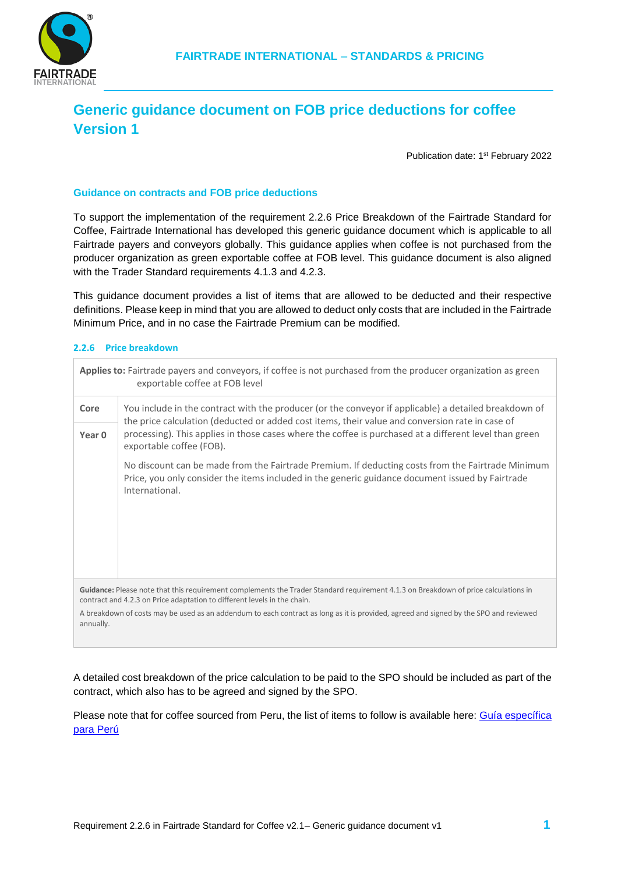

## **Generic guidance document on FOB price deductions for coffee Version 1**

Publication date: 1<sup>st</sup> February 2022

## **Guidance on contracts and FOB price deductions**

To support the implementation of the requirement 2.2.6 Price Breakdown of the Fairtrade Standard for Coffee, Fairtrade International has developed this generic guidance document which is applicable to all Fairtrade payers and conveyors globally. This guidance applies when coffee is not purchased from the producer organization as green exportable coffee at FOB level. This guidance document is also aligned with the Trader Standard requirements 4.1.3 and 4.2.3.

This guidance document provides a list of items that are allowed to be deducted and their respective definitions. Please keep in mind that you are allowed to deduct only costs that are included in the Fairtrade Minimum Price, and in no case the Fairtrade Premium can be modified.

## **2.2.6 Price breakdown**

| Applies to: Fairtrade payers and conveyors, if coffee is not purchased from the producer organization as green<br>exportable coffee at FOB level                                                                |                                                                                                                                                                                                                                                                                                                                                |  |  |
|-----------------------------------------------------------------------------------------------------------------------------------------------------------------------------------------------------------------|------------------------------------------------------------------------------------------------------------------------------------------------------------------------------------------------------------------------------------------------------------------------------------------------------------------------------------------------|--|--|
| Core                                                                                                                                                                                                            | You include in the contract with the producer (or the conveyor if applicable) a detailed breakdown of<br>the price calculation (deducted or added cost items, their value and conversion rate in case of<br>processing). This applies in those cases where the coffee is purchased at a different level than green<br>exportable coffee (FOB). |  |  |
| Year 0                                                                                                                                                                                                          |                                                                                                                                                                                                                                                                                                                                                |  |  |
|                                                                                                                                                                                                                 | No discount can be made from the Fairtrade Premium. If deducting costs from the Fairtrade Minimum<br>Price, you only consider the items included in the generic guidance document issued by Fairtrade<br>International.                                                                                                                        |  |  |
| Guidance: Please note that this requirement complements the Trader Standard requirement 4.1.3 on Breakdown of price calculations in<br>contract and 4.2.3 on Price adaptation to different levels in the chain. |                                                                                                                                                                                                                                                                                                                                                |  |  |
| A breakdown of costs may be used as an addendum to each contract as long as it is provided, agreed and signed by the SPO and reviewed<br>annually.                                                              |                                                                                                                                                                                                                                                                                                                                                |  |  |

A detailed cost breakdown of the price calculation to be paid to the SPO should be included as part of the contract, which also has to be agreed and signed by the SPO.

Please note that for coffee sourced from Peru, the list of items to follow is available here: Guía específica [para Perú](https://files.fairtrade.net/standards/Coffee_Guidance_Peru_FOB-Price-Deduction_SP.pdf)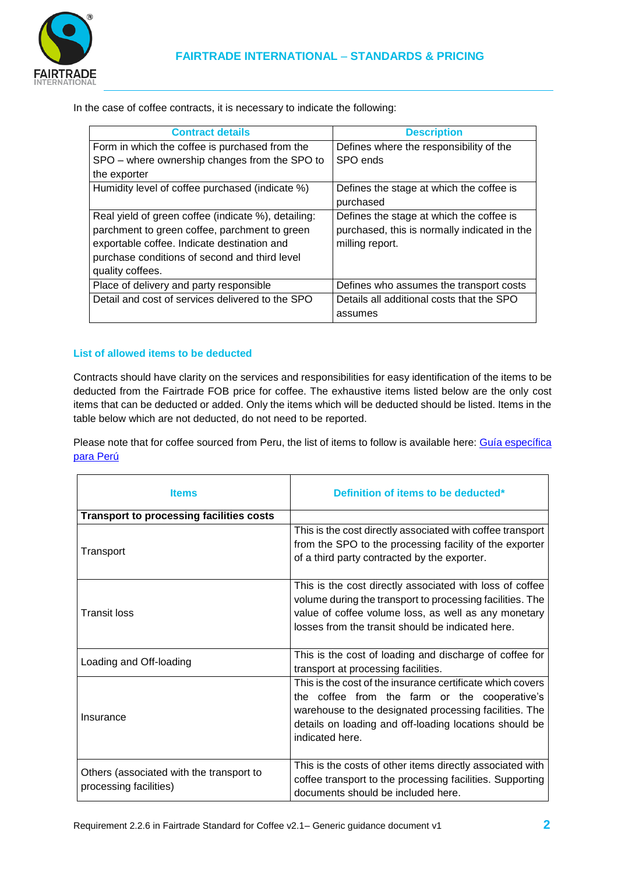

In the case of coffee contracts, it is necessary to indicate the following:

| <b>Contract details</b>                             | <b>Description</b>                           |
|-----------------------------------------------------|----------------------------------------------|
| Form in which the coffee is purchased from the      | Defines where the responsibility of the      |
| SPO – where ownership changes from the SPO to       | SPO ends                                     |
| the exporter                                        |                                              |
| Humidity level of coffee purchased (indicate %)     | Defines the stage at which the coffee is     |
|                                                     | purchased                                    |
| Real yield of green coffee (indicate %), detailing: | Defines the stage at which the coffee is     |
| parchment to green coffee, parchment to green       | purchased, this is normally indicated in the |
| exportable coffee. Indicate destination and         | milling report.                              |
| purchase conditions of second and third level       |                                              |
| quality coffees.                                    |                                              |
| Place of delivery and party responsible             | Defines who assumes the transport costs      |
| Detail and cost of services delivered to the SPO    | Details all additional costs that the SPO    |
|                                                     | assumes                                      |

## **List of allowed items to be deducted**

Contracts should have clarity on the services and responsibilities for easy identification of the items to be deducted from the Fairtrade FOB price for coffee. The exhaustive items listed below are the only cost items that can be deducted or added. Only the items which will be deducted should be listed. Items in the table below which are not deducted, do not need to be reported.

Please note that for coffee sourced from Peru, the list of items to follow is available here: Guía específica [para Perú](https://files.fairtrade.net/standards/Coffee_Guidance_Peru_FOB-Price-Deduction_SP.pdf)

| <b>Items</b>                                                       | Definition of items to be deducted*                                                                                                                                                                                                                |
|--------------------------------------------------------------------|----------------------------------------------------------------------------------------------------------------------------------------------------------------------------------------------------------------------------------------------------|
| <b>Transport to processing facilities costs</b>                    |                                                                                                                                                                                                                                                    |
| Transport                                                          | This is the cost directly associated with coffee transport<br>from the SPO to the processing facility of the exporter<br>of a third party contracted by the exporter.                                                                              |
| <b>Transit loss</b>                                                | This is the cost directly associated with loss of coffee<br>volume during the transport to processing facilities. The<br>value of coffee volume loss, as well as any monetary<br>losses from the transit should be indicated here.                 |
| Loading and Off-loading                                            | This is the cost of loading and discharge of coffee for<br>transport at processing facilities.                                                                                                                                                     |
| Insurance                                                          | This is the cost of the insurance certificate which covers<br>the coffee from the farm or the cooperative's<br>warehouse to the designated processing facilities. The<br>details on loading and off-loading locations should be<br>indicated here. |
| Others (associated with the transport to<br>processing facilities) | This is the costs of other items directly associated with<br>coffee transport to the processing facilities. Supporting<br>documents should be included here.                                                                                       |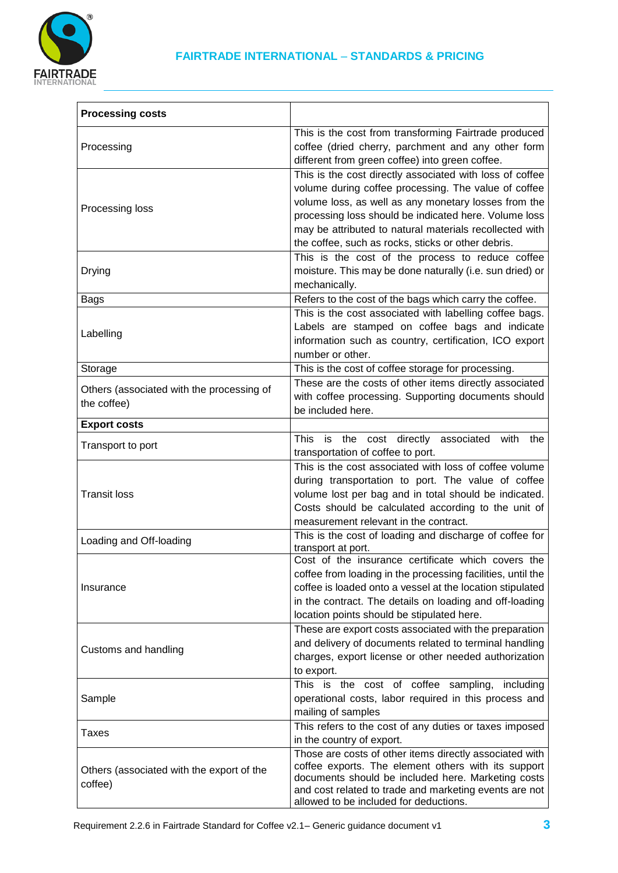

| <b>Processing costs</b>                                  |                                                                                                                                                                                                                                                                                                                                                    |
|----------------------------------------------------------|----------------------------------------------------------------------------------------------------------------------------------------------------------------------------------------------------------------------------------------------------------------------------------------------------------------------------------------------------|
| Processing                                               | This is the cost from transforming Fairtrade produced<br>coffee (dried cherry, parchment and any other form<br>different from green coffee) into green coffee.                                                                                                                                                                                     |
| Processing loss                                          | This is the cost directly associated with loss of coffee<br>volume during coffee processing. The value of coffee<br>volume loss, as well as any monetary losses from the<br>processing loss should be indicated here. Volume loss<br>may be attributed to natural materials recollected with<br>the coffee, such as rocks, sticks or other debris. |
| Drying                                                   | This is the cost of the process to reduce coffee<br>moisture. This may be done naturally (i.e. sun dried) or<br>mechanically.                                                                                                                                                                                                                      |
| <b>Bags</b>                                              | Refers to the cost of the bags which carry the coffee.                                                                                                                                                                                                                                                                                             |
| Labelling                                                | This is the cost associated with labelling coffee bags.<br>Labels are stamped on coffee bags and indicate<br>information such as country, certification, ICO export<br>number or other.                                                                                                                                                            |
| Storage                                                  | This is the cost of coffee storage for processing.                                                                                                                                                                                                                                                                                                 |
| Others (associated with the processing of<br>the coffee) | These are the costs of other items directly associated<br>with coffee processing. Supporting documents should<br>be included here.                                                                                                                                                                                                                 |
| <b>Export costs</b>                                      |                                                                                                                                                                                                                                                                                                                                                    |
| Transport to port                                        | This is the cost directly associated with<br>the<br>transportation of coffee to port.                                                                                                                                                                                                                                                              |
| <b>Transit loss</b>                                      | This is the cost associated with loss of coffee volume<br>during transportation to port. The value of coffee<br>volume lost per bag and in total should be indicated.<br>Costs should be calculated according to the unit of<br>measurement relevant in the contract.                                                                              |
| Loading and Off-loading                                  | This is the cost of loading and discharge of coffee for<br>transport at port.                                                                                                                                                                                                                                                                      |
| Insurance                                                | Cost of the insurance certificate which covers the<br>coffee from loading in the processing facilities, until the<br>coffee is loaded onto a vessel at the location stipulated<br>in the contract. The details on loading and off-loading<br>location points should be stipulated here.                                                            |
| Customs and handling                                     | These are export costs associated with the preparation<br>and delivery of documents related to terminal handling<br>charges, export license or other needed authorization<br>to export.                                                                                                                                                            |
| Sample                                                   | This is the cost of coffee sampling, including<br>operational costs, labor required in this process and<br>mailing of samples                                                                                                                                                                                                                      |
| Taxes                                                    | This refers to the cost of any duties or taxes imposed<br>in the country of export.                                                                                                                                                                                                                                                                |
| Others (associated with the export of the<br>coffee)     | Those are costs of other items directly associated with<br>coffee exports. The element others with its support<br>documents should be included here. Marketing costs<br>and cost related to trade and marketing events are not<br>allowed to be included for deductions.                                                                           |